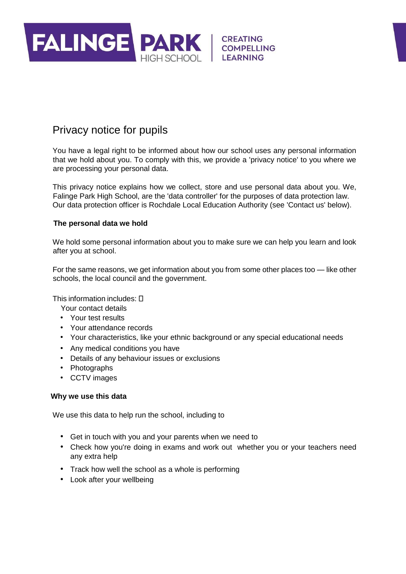

# Privacy notice for pupils

You have a legal right to be informed about how our school uses any personal information that we hold about you. To comply with this, we provide a 'privacy notice' to you where we are processing your personal data.

This privacy notice explains how we collect, store and use personal data about you. We, Falinge Park High School, are the 'data controller' for the purposes of data protection law. Our data protection officer is Rochdale Local Education Authority (see 'Contact us' below).

# **The personal data we hold**

We hold some personal information about you to make sure we can help you learn and look after you at school.

For the same reasons, we get information about you from some other places too — like other schools, the local council and the government.

This information includes:

- Your contact details
- Your test results
- Your attendance records
- Your characteristics, like your ethnic background or any special educational needs
- Any medical conditions you have
- Details of any behaviour issues or exclusions
- Photographs
- CCTV images

# **Why we use this data**

We use this data to help run the school, including to

- Get in touch with you and your parents when we need to
- Check how you're doing in exams and work out whether you or your teachers need any extra help
- Track how well the school as a whole is performing
- Look after your wellbeing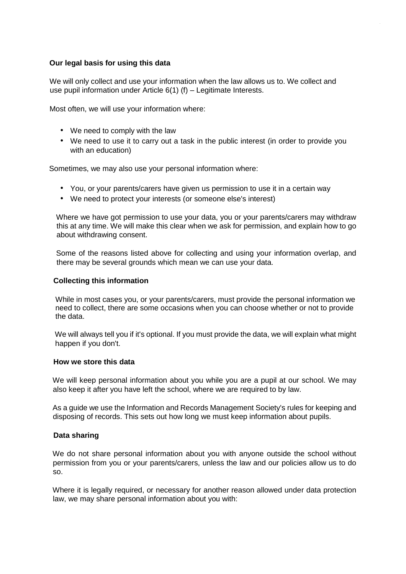# **Our legal basis for using this data**

We will only collect and use your information when the law allows us to. We collect and use pupil information under Article 6(1) (f) – Legitimate Interests.

Most often, we will use your information where:

- We need to comply with the law
- We need to use it to carry out a task in the public interest (in order to provide you with an education)

Sometimes, we may also use your personal information where:

- You, or your parents/carers have given us permission to use it in a certain way
- We need to protect your interests (or someone else's interest)

Where we have got permission to use your data, you or your parents/carers may withdraw this at any time. We will make this clear when we ask for permission, and explain how to go about withdrawing consent.

Some of the reasons listed above for collecting and using your information overlap, and there may be several grounds which mean we can use your data.

## **Collecting this information**

While in most cases you, or your parents/carers, must provide the personal information we need to collect, there are some occasions when you can choose whether or not to provide the data.

We will always tell you if it's optional. If you must provide the data, we will explain what might happen if you don't.

#### **How we store this data**

We will keep personal information about you while you are a pupil at our school. We may also keep it after you have left the school, where we are required to by law.

As a guide we use the Information and Records Management Society's rules for keeping and disposing of records. This sets out how long we must keep information about pupils.

# **Data sharing**

We do not share personal information about you with anyone outside the school without permission from you or your parents/carers, unless the law and our policies allow us to do so.

Where it is legally required, or necessary for another reason allowed under data protection law, we may share personal information about you with: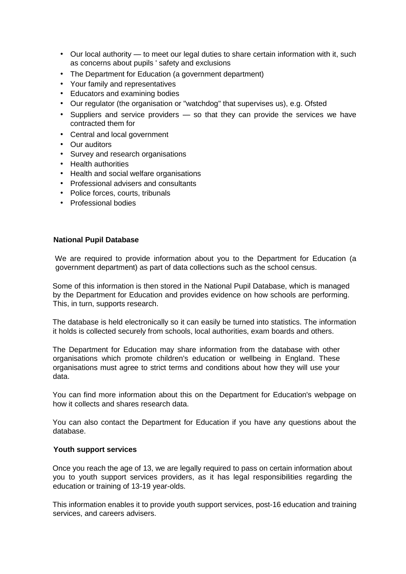- Our local authority to meet our legal duties to share certain information with it, such as concerns about pupils ' safety and exclusions
- The Department for Education (a government department)
- Your family and representatives
- Educators and examining bodies
- Our regulator (the organisation or "watchdog" that supervises us), e.g. Ofsted
- Suppliers and service providers so that they can provide the services we have contracted them for
- Central and local government
- Our auditors
- Survey and research organisations
- Health authorities
- Health and social welfare organisations
- Professional advisers and consultants
- Police forces, courts, tribunals
- Professional bodies

#### **National Pupil Database**

We are required to provide information about you to the Department for Education (a government department) as part of data collections such as the school census.

Some of this information is then stored in the National Pupil Database, which is managed by the Department for Education and provides evidence on how schools are performing. This, in turn, supports research.

The database is held electronically so it can easily be turned into statistics. The information it holds is collected securely from schools, local authorities, exam boards and others.

The Department for Education may share information from the database with other organisations which promote children's education or wellbeing in England. These organisations must agree to strict terms and conditions about how they will use your data.

You can find more information about this on the Department for Education's webpage on how it collects and shares research data.

You can also contact the Department for Education if you have any questions about the database.

#### **Youth support services**

Once you reach the age of 13, we are legally required to pass on certain information about you to youth support services providers, as it has legal responsibilities regarding the education or training of 13-19 year-olds.

This information enables it to provide youth support services, post-16 education and training services, and careers advisers.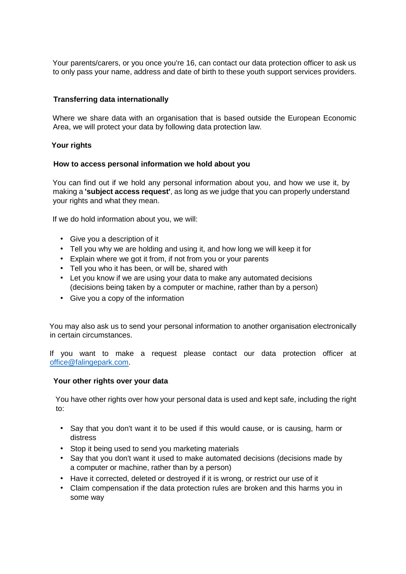Your parents/carers, or you once you're 16, can contact our data protection officer to ask us to only pass your name, address and date of birth to these youth support services providers.

# **Transferring data internationally**

Where we share data with an organisation that is based outside the European Economic Area, we will protect your data by following data protection law.

## **Your rights**

## **How to access personal information we hold about you**

You can find out if we hold any personal information about you, and how we use it, by making a **'subject access request'**, as long as we judge that you can properly understand your rights and what they mean.

If we do hold information about you, we will:

- Give you a description of it
- Tell you why we are holding and using it, and how long we will keep it for
- Explain where we got it from, if not from you or your parents
- Tell you who it has been, or will be, shared with
- Let you know if we are using your data to make any automated decisions (decisions being taken by a computer or machine, rather than by a person)
- Give you a copy of the information

You may also ask us to send your personal information to another organisation electronically in certain circumstances.

If you want to make a request please contact our data protection officer at office@falingepark.com.

#### **Your other rights over your data**

You have other rights over how your personal data is used and kept safe, including the right to:

- Say that you don't want it to be used if this would cause, or is causing, harm or distress
- Stop it being used to send you marketing materials
- Say that you don't want it used to make automated decisions (decisions made by a computer or machine, rather than by a person)
- Have it corrected, deleted or destroyed if it is wrong, or restrict our use of it
- Claim compensation if the data protection rules are broken and this harms you in some way